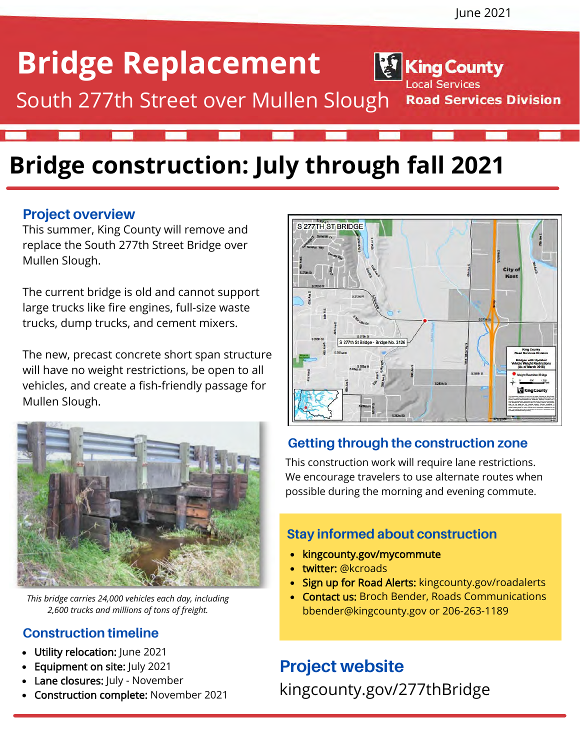**Road Services Division** 

**King County** 

Local Services

## **Bridge Replacement**

South 277th Street over Mullen Slough

## **Bridge construction: July through fall 2021**

#### **Project overview**

This summer, King County will remove and replace the South 277th Street Bridge over Mullen Slough.

The current bridge is old and cannot support large trucks like fire engines, full-size waste trucks, dump trucks, and cement mixers.

The new, precast concrete short span structure will have no weight restrictions, be open to all vehicles, and create a fish-friendly passage for Mullen Slough.



*This bridge carries 24,000 vehicles each day, including 2,600 trucks and millions of tons of freight.*

#### **Construction timeline**

- Utility relocation: June 2021
- Equipment on site: July 2021
- Lane closures: July November
- Construction complete: November 2021



#### **Getting through the construction zone**

This construction work will require lane restrictions. We encourage travelers to use alternate routes when possible during the morning and evening commute.

#### **Stay informed about construction**

- kingcounty.gov/mycommute
- twitter: @kcroads
- Sign up for Road Alerts: kingcounty.gov/roadalerts
- Contact us: Broch Bender, Roads Communications  $\bullet$ bbender@kingcounty.gov or 206-263-1189

### **Project website**

kingcounty.gov/277thBridge